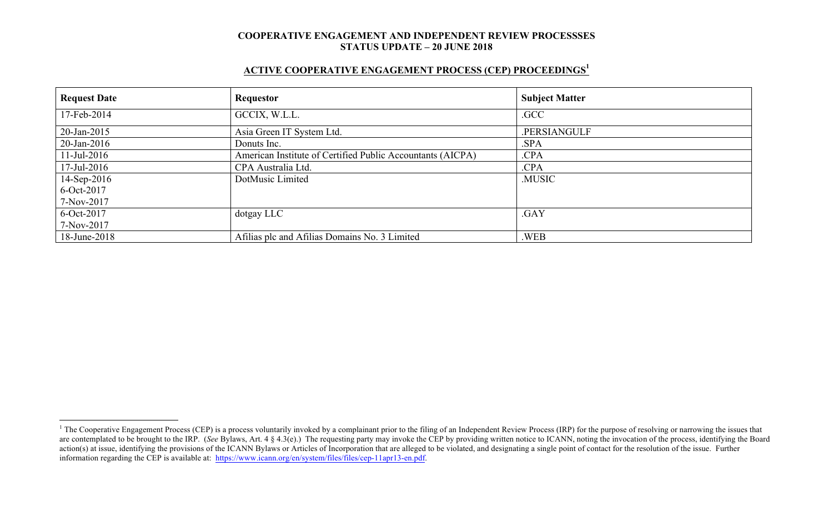# **ACTIVE COOPERATIVE ENGAGEMENT PROCESS (CEP) PROCEEDINGS<sup>1</sup>**

| <b>Request Date</b> | Requestor                                                  | <b>Subject Matter</b> |
|---------------------|------------------------------------------------------------|-----------------------|
| 17-Feb-2014         | GCCIX, W.L.L.                                              | .GCC                  |
| 20-Jan-2015         | Asia Green IT System Ltd.                                  | .PERSIANGULF          |
| $20$ -Jan-2016      | Donuts Inc.                                                | .SPA                  |
| $11$ -Jul-2016      | American Institute of Certified Public Accountants (AICPA) | .CPA                  |
| $17$ -Jul-2016      | CPA Australia Ltd.                                         | .CPA                  |
| 14-Sep-2016         | DotMusic Limited                                           | .MUSIC                |
| 6-Oct-2017          |                                                            |                       |
| 7-Nov-2017          |                                                            |                       |
| 6-Oct-2017          | dotgay LLC                                                 | .GAY                  |
| 7-Nov-2017          |                                                            |                       |
| 18-June-2018        | Afilias plc and Afilias Domains No. 3 Limited              | .WEB                  |

 $1$  The Cooperative Engagement Process (CEP) is a process voluntarily invoked by a complainant prior to the filing of an Independent Review Process (IRP) for the purpose of resolving or narrowing the issues that are contemplated to be brought to the IRP. (*See* Bylaws, Art. 4 § 4.3(e).) The requesting party may invoke the CEP by providing written notice to ICANN, noting the invocation of the process, identifying the Board action(s) at issue, identifying the provisions of the ICANN Bylaws or Articles of Incorporation that are alleged to be violated, and designating a single point of contact for the resolution of the issue. Further information regarding the CEP is available at: https://www.icann.org/en/system/files/files/cep-11apr13-en.pdf.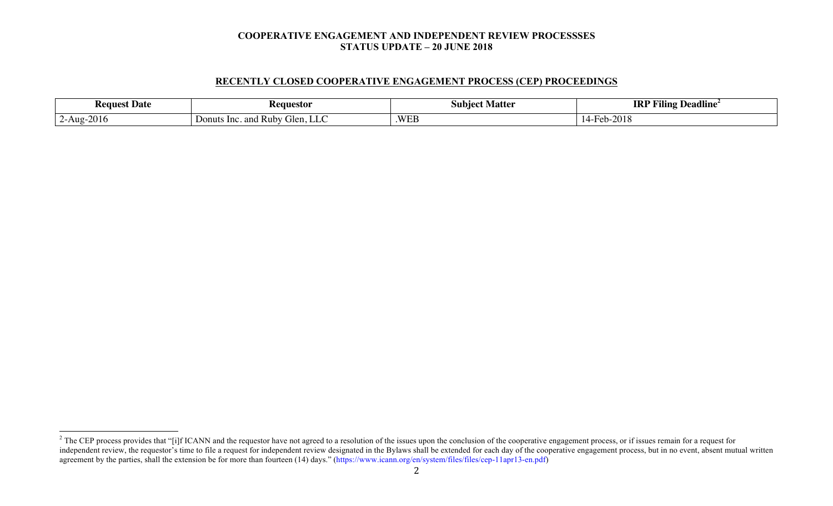#### **RECENTLY CLOSED COOPERATIVE ENGAGEMENT PROCESS (CEP) PROCEEDINGS**

| <b>Request Date</b> | <b>Requestor</b>                        | Matter<br>Subiect      | $\cdots$<br><b>IRI</b><br>$\mathbf{m} \cdot \mathbf{r}$<br>$\overline{\phantom{a}}$<br><b>Deadline</b><br>ʻiling |
|---------------------|-----------------------------------------|------------------------|------------------------------------------------------------------------------------------------------------------|
| $2-Aug-2016$        | and Ruby Glen, LLC .<br>Donuts<br>- Inc | <b>WEL</b><br>. VV C.D | 0010<br>$Heb-z$<br>2010                                                                                          |

<sup>&</sup>lt;sup>2</sup> The CEP process provides that "[i]f ICANN and the requestor have not agreed to a resolution of the issues upon the conclusion of the cooperative engagement process, or if issues remain for a request for independent review, the requestor's time to file a request for independent review designated in the Bylaws shall be extended for each day of the cooperative engagement process, but in no event, absent mutual written agreement by the parties, shall the extension be for more than fourteen (14) days." (https://www.icann.org/en/system/files/files/cep-11apr13-en.pdf)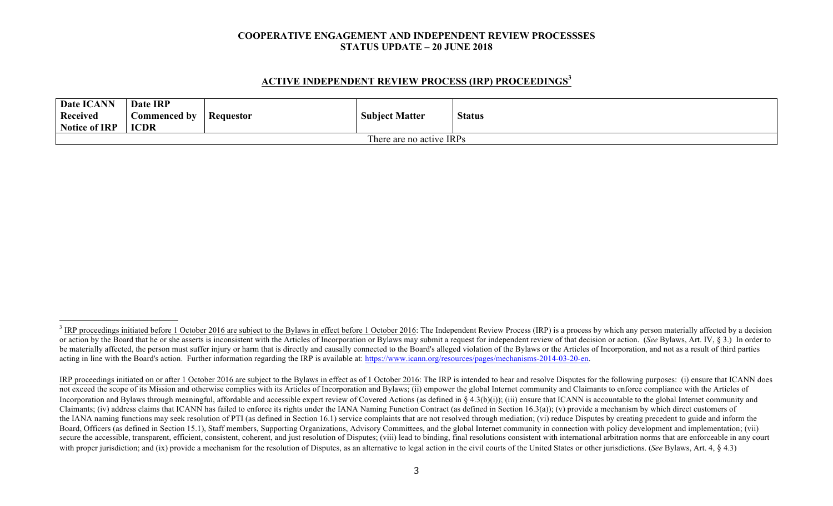### **ACTIVE INDEPENDENT REVIEW PROCESS (IRP) PROCEEDINGS<sup>3</sup>**

| Date ICANN<br>Received<br><b>Notice of IRP</b> | Date IRP<br>Commenced by<br><b>ICDR</b> | Requestor | <b>Subject Matter</b> | <b>Status</b> |  |
|------------------------------------------------|-----------------------------------------|-----------|-----------------------|---------------|--|
| There are no active IRPs                       |                                         |           |                       |               |  |

<sup>&</sup>lt;sup>3</sup> IRP proceedings initiated before 1 October 2016 are subject to the Bylaws in effect before 1 October 2016: The Independent Review Process (IRP) is a process by which any person materially affected by a decision or action by the Board that he or she asserts is inconsistent with the Articles of Incorporation or Bylaws may submit a request for independent review of that decision or action. (See Bylaws, Art. IV, § 3.) In order to be materially affected, the person must suffer injury or harm that is directly and causally connected to the Board's alleged violation of the Bylaws or the Articles of Incorporation, and not as a result of third parties acting in line with the Board's action. Further information regarding the IRP is available at: https://www.icann.org/resources/pages/mechanisms-2014-03-20-en.

IRP proceedings initiated on or after 1 October 2016 are subject to the Bylaws in effect as of 1 October 2016: The IRP is intended to hear and resolve Disputes for the following purposes: (i) ensure that ICANN does not exceed the scope of its Mission and otherwise complies with its Articles of Incorporation and Bylaws; (ii) empower the global Internet community and Claimants to enforce compliance with the Articles of Incorporation and Bylaws through meaningful, affordable and accessible expert review of Covered Actions (as defined in § 4.3(b)(i)); (iii) ensure that ICANN is accountable to the global Internet community and Claimants; (iv) address claims that ICANN has failed to enforce its rights under the IANA Naming Function Contract (as defined in Section 16.3(a)); (v) provide a mechanism by which direct customers of the IANA naming functions may seek resolution of PTI (as defined in Section 16.1) service complaints that are not resolved through mediation; (vi) reduce Disputes by creating precedent to guide and inform the Board, Officers (as defined in Section 15.1), Staff members, Supporting Organizations, Advisory Committees, and the global Internet community in connection with policy development and implementation; (vii) secure the accessible, transparent, efficient, consistent, coherent, and just resolution of Disputes; (viii) lead to binding, final resolutions consistent with international arbitration norms that are enforceable in any co with proper jurisdiction; and (ix) provide a mechanism for the resolution of Disputes, as an alternative to legal action in the civil courts of the United States or other jurisdictions. (*See* Bylaws, Art. 4, § 4.3)